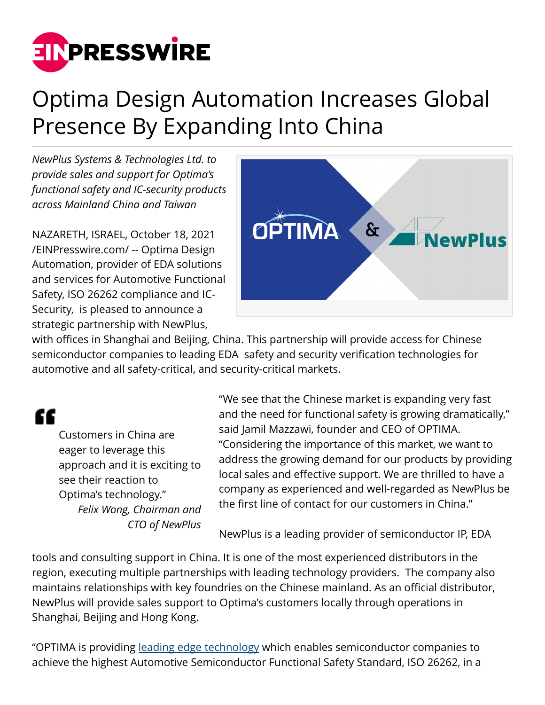

## Optima Design Automation Increases Global Presence By Expanding Into China

*NewPlus Systems & Technologies Ltd. to provide sales and support for Optima's functional safety and IC-security products across Mainland China and Taiwan*

NAZARETH, ISRAEL, October 18, 2021 [/EINPresswire.com/](http://www.einpresswire.com) -- Optima Design Automation, provider of EDA solutions and services for Automotive Functional Safety, ISO 26262 compliance and IC-Security, is pleased to announce a strategic partnership with NewPlus,



with offices in Shanghai and Beijing, China. This partnership will provide access for Chinese semiconductor companies to leading EDA safety and security verification technologies for automotive and all safety-critical, and security-critical markets.

## "

Customers in China are eager to leverage this approach and it is exciting to see their reaction to Optima's technology." *Felix Wong, Chairman and CTO of NewPlus*

"We see that the Chinese market is expanding very fast and the need for functional safety is growing dramatically," said Jamil Mazzawi, founder and CEO of OPTIMA. "Considering the importance of this market, we want to address the growing demand for our products by providing local sales and effective support. We are thrilled to have a company as experienced and well-regarded as NewPlus be the first line of contact for our customers in China."

NewPlus is a leading provider of semiconductor IP, EDA

tools and consulting support in China. It is one of the most experienced distributors in the region, executing multiple partnerships with leading technology providers. The company also maintains relationships with key foundries on the Chinese mainland. As an official distributor, NewPlus will provide sales support to Optima's customers locally through operations in Shanghai, Beijing and Hong Kong.

"OPTIMA is providing [leading edge technology](https://optima-da.com/products/?utm_source=press-release&utm_medium=publication&utm_campaign=optima-partners-with-newplus) which enables semiconductor companies to achieve the highest Automotive Semiconductor Functional Safety Standard, ISO 26262, in a